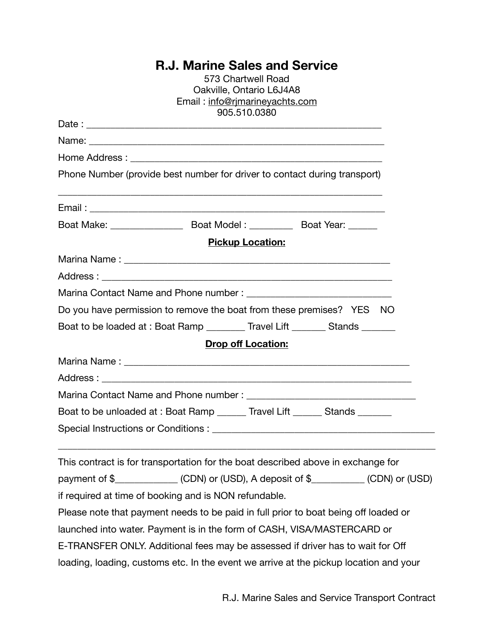## **R.J. Marine Sales and Service**

| 573 Chartwell Road<br>Oakville, Ontario L6J4A8                                        |  |
|---------------------------------------------------------------------------------------|--|
| Email: info@rjmarineyachts.com                                                        |  |
| 905.510.0380                                                                          |  |
|                                                                                       |  |
|                                                                                       |  |
| Phone Number (provide best number for driver to contact during transport)             |  |
|                                                                                       |  |
|                                                                                       |  |
| <b>Pickup Location:</b>                                                               |  |
|                                                                                       |  |
|                                                                                       |  |
|                                                                                       |  |
| Do you have permission to remove the boat from these premises? YES NO                 |  |
| Boat to be loaded at : Boat Ramp ________ Travel Lift _______ Stands ______           |  |
| <b>Drop off Location:</b>                                                             |  |
|                                                                                       |  |
|                                                                                       |  |
|                                                                                       |  |
| Boat to be unloaded at : Boat Ramp ______ Travel Lift ______ Stands _______           |  |
|                                                                                       |  |
| This contract is for transportation for the boat described above in exchange for      |  |
| payment of \$______________(CDN) or (USD), A deposit of \$__________(CDN) or (USD)    |  |
| if required at time of booking and is NON refundable.                                 |  |
| Please note that payment needs to be paid in full prior to boat being off loaded or   |  |
| launched into water. Payment is in the form of CASH, VISA/MASTERCARD or               |  |
| E-TRANSFER ONLY. Additional fees may be assessed if driver has to wait for Off        |  |
| loading, loading, customs etc. In the event we arrive at the pickup location and your |  |